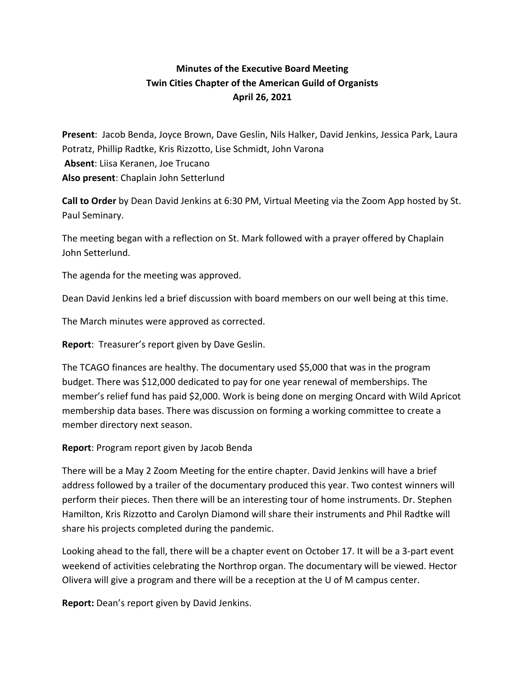## **Minutes of the Executive Board Meeting Twin Cities Chapter of the American Guild of Organists April 26, 2021**

**Present**: Jacob Benda, Joyce Brown, Dave Geslin, Nils Halker, David Jenkins, Jessica Park, Laura Potratz, Phillip Radtke, Kris Rizzotto, Lise Schmidt, John Varona **Absent**: Liisa Keranen, Joe Trucano **Also present**: Chaplain John Setterlund

**Call to Order** by Dean David Jenkins at 6:30 PM, Virtual Meeting via the Zoom App hosted by St. Paul Seminary.

The meeting began with a reflection on St. Mark followed with a prayer offered by Chaplain John Setterlund.

The agenda for the meeting was approved.

Dean David Jenkins led a brief discussion with board members on our well being at this time.

The March minutes were approved as corrected.

**Report**: Treasurer's report given by Dave Geslin.

The TCAGO finances are healthy. The documentary used \$5,000 that was in the program budget. There was \$12,000 dedicated to pay for one year renewal of memberships. The member's relief fund has paid \$2,000. Work is being done on merging Oncard with Wild Apricot membership data bases. There was discussion on forming a working committee to create a member directory next season.

## **Report**: Program report given by Jacob Benda

There will be a May 2 Zoom Meeting for the entire chapter. David Jenkins will have a brief address followed by a trailer of the documentary produced this year. Two contest winners will perform their pieces. Then there will be an interesting tour of home instruments. Dr. Stephen Hamilton, Kris Rizzotto and Carolyn Diamond will share their instruments and Phil Radtke will share his projects completed during the pandemic.

Looking ahead to the fall, there will be a chapter event on October 17. It will be a 3-part event weekend of activities celebrating the Northrop organ. The documentary will be viewed. Hector Olivera will give a program and there will be a reception at the U of M campus center.

**Report:** Dean's report given by David Jenkins.